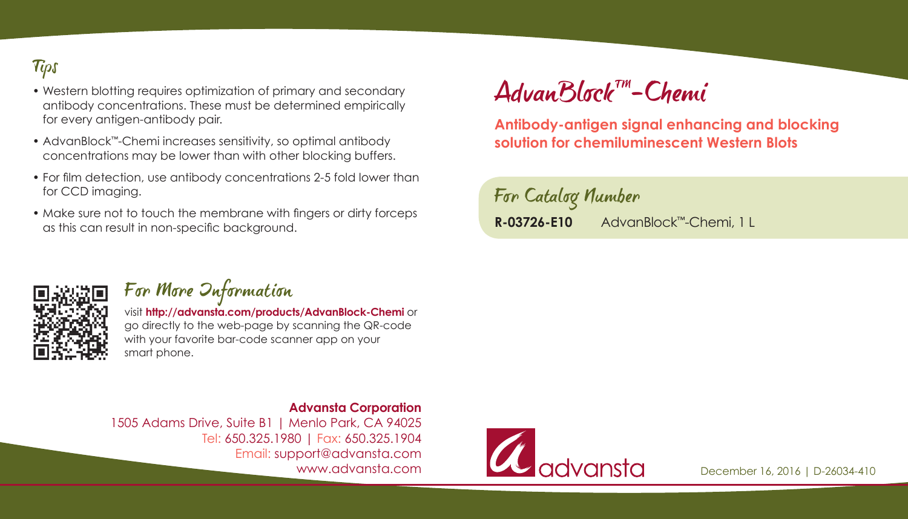### **Tips**

- Western blotting requires optimization of primary and secondary antibody concentrations. These must be determined empirically for every antigen-antibody pair.
- AdvanBlock™-Chemi increases sensitivity, so optimal antibody concentrations may be lower than with other blocking buffers.
- For film detection, use antibody concentrations 2-5 fold lower than for CCD imaging.
- Make sure not to touch the membrane with fingers or dirty forceps as this can result in non-specific background.

# AdvanBlockTM-Chemi

**Antibody-antigen signal enhancing and blocking solution for chemiluminescent Western Blots**

For Catalog Number **R-03726-E10** AdvanBlock™-Chemi, 1 L



#### For More Information

visit **http://advansta.com/products/AdvanBlock-Chemi** or go directly to the web-page by scanning the QR-code with your favorite bar-code scanner app on your smart phone.

**Advansta Corporation** 1505 Adams Drive, Suite B1 | Menlo Park, CA 94025 Tel: 650.325.1980 | Fax: 650.325.1904 Email: support@advansta.com www.advansta.com



December 16, 2016 | D-26034-410